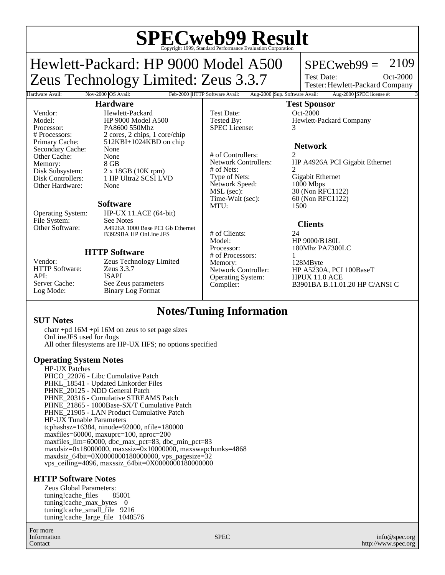# **SPECweb99 Result** Copyright 1999, Standard Performance Evaluation Corporation

## Hewlett-Packard: HP 9000 Model A500 Zeus Technology Limited: Zeus 3.3.7

### $SPECweb99 = 2109$

Test Date: Tester: Hewlett-Packard Company Oct-2000

### **Hardware**

Hardware Avail: Nov-2000 OS Avail: Feb-2000 HTTP Software Avail: Aug-2000 Sup. Software Avail: Aug-2000 SPEC license #:

# of Nets:<br>Type of Nets:

Network Speed:<br>MSL (sec):

Operating System:

### **Test Sponsor**

Test Date: 0ct-2000 Tested By: Hewlett-Packard Company SPEC License: 3

### **Network**

# of Controllers: 2<br>Network Controllers: H HP A4926A PCI Gigabit Ethernet Gigabit Ethernet<br>1000 Mbps MSL (sec): 30 (Non RFC1122)<br>Time-Wait (sec): 60 (Non RFC1122) 60 (Non RFC1122) MTU: 1500

### **Clients**

# of Clients: 24 Model: HP 9000/B180L<br>Processor: 180Mhz PA7300 180Mhz PA7300LC

# of Processors: 1 Memory: 128MByte<br>Network Controller: HP A5230/ HP A5230A, PCI 100BaseT<br>HPUX 11.0 ACE Compiler: B3901BA B.11.01.20 HP C/ANSI C

Vendor: Hewlett-Packard<br>Model: HP 9000 Model Processor: PA8600 550Mhz<br>
# Processors: 2 cores. 2 chips. 1 Secondary Cache: None Other Cache: None<br>
Memory: 8 GB Memory:<br>Disk Subsystem: Other Hardware: None

Model: HP 9000 Model A500<br>Processor: PA8600 550Mhz # Processors: 2 cores, 2 chips, 1 core/chip  $512KBI+1024KBD$  on chip Disk Subsystem: 2 x 18GB (10K rpm)<br>Disk Controllers: 1 HP Ultra2 SCSI LN 1 HP Ultra2 SCSI LVD

#### **Software**

Operating System: HP-UX 11.ACE (64-bit) File System: See Notes<br>Other Software: A4926A 100 A4926A 1000 Base PCI Gb Ethernet B3929BA HP OnLine JFS

### **HTTP Software**

HTTP Software: API: ISAPI<br>Server Cache: See Ze

Vendor: Zeus Technology Limited<br>HTTP Software: Zeus 3.3.7 Server Cache: See Zeus parameters<br>
Log Mode: Binary Log Format Binary Log Format

### **Notes/Tuning Information**

### **SUT Notes**

chatr +pd 16M +pi 16M on zeus to set page sizes OnLineJFS used for /logs All other filesystems are HP-UX HFS; no options specified

### **Operating System Notes**

HP-UX Patches PHCO 22076 - Libc Cumulative Patch PHKL\_18541 - Updated Linkorder Files PHNE\_20125 - NDD General Patch PHNE\_20316 - Cumulative STREAMS Patch PHNE\_21865 - 1000Base-SX/T Cumulative Patch PHNE\_21905 - LAN Product Cumulative Patch HP-UX Tunable Parameters tcphashsz=16384, ninode=92000, nfile=180000 maxfiles=60000, maxuprc=100, nproc=200 maxfiles\_lim=60000, dbc\_max\_pct=83, dbc\_min\_pct=83 maxdsiz=0x18000000, maxssiz=0x10000000, maxswapchunks=4868 maxdsiz\_64bit=0X0000000180000000, vps\_pagesize=32 vps\_ceiling=4096, maxssiz\_64bit=0X0000000180000000

### **HTTP Software Notes**

Zeus Global Parameters:<br>tuning!cache files 85001 tuning!cache\_files tuning!cache\_max\_bytes 0 tuning!cache\_small\_file 9216 tuning!cache\_large\_file 1048576

For more Information Contact